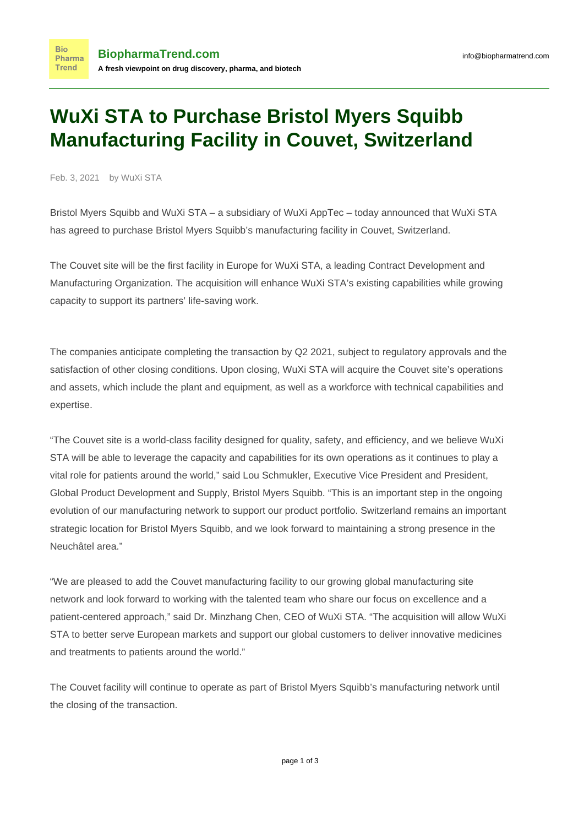### **WuXi STA to Purchase Bristol Myers Squibb Manufacturing Facility in Couvet, Switzerland**

Feb. 3, 2021 by WuXi STA

**Bio** 

Bristol Myers Squibb and WuXi STA – a subsidiary of WuXi AppTec – today announced that WuXi STA has agreed to purchase Bristol Myers Squibb's manufacturing facility in Couvet, Switzerland.

The Couvet site will be the first facility in Europe for WuXi STA, a leading Contract Development and Manufacturing Organization. The acquisition will enhance WuXi STA's existing capabilities while growing capacity to support its partners' life-saving work.

The companies anticipate completing the transaction by Q2 2021, subject to regulatory approvals and the satisfaction of other closing conditions. Upon closing, WuXi STA will acquire the Couvet site's operations and assets, which include the plant and equipment, as well as a workforce with technical capabilities and expertise.

"The Couvet site is a world-class facility designed for quality, safety, and efficiency, and we believe WuXi STA will be able to leverage the capacity and capabilities for its own operations as it continues to play a vital role for patients around the world," said Lou Schmukler, Executive Vice President and President, Global Product Development and Supply, Bristol Myers Squibb. "This is an important step in the ongoing evolution of our manufacturing network to support our product portfolio. Switzerland remains an important strategic location for Bristol Myers Squibb, and we look forward to maintaining a strong presence in the Neuchâtel area."

"We are pleased to add the Couvet manufacturing facility to our growing global manufacturing site network and look forward to working with the talented team who share our focus on excellence and a patient-centered approach," said Dr. Minzhang Chen, CEO of WuXi STA. "The acquisition will allow WuXi STA to better serve European markets and support our global customers to deliver innovative medicines and treatments to patients around the world."

The Couvet facility will continue to operate as part of Bristol Myers Squibb's manufacturing network until the closing of the transaction.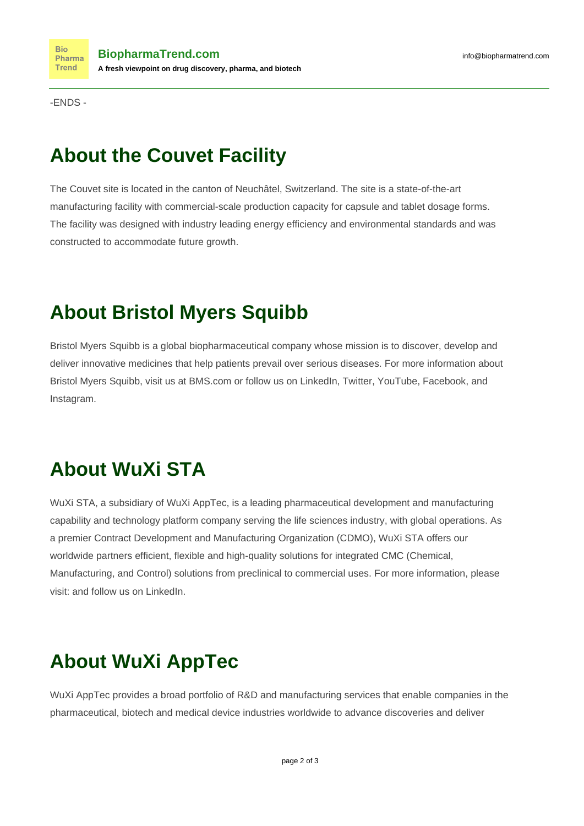-ENDS -

### **About the Couvet Facility**

The Couvet site is located in the canton of Neuchâtel, Switzerland. The site is a state-of-the-art manufacturing facility with commercial-scale production capacity for capsule and tablet dosage forms. The facility was designed with industry leading energy efficiency and environmental standards and was constructed to accommodate future growth.

## **About Bristol Myers Squibb**

Bristol Myers Squibb is a global biopharmaceutical company whose mission is to discover, develop and deliver innovative medicines that help patients prevail over serious diseases. For more information about Bristol Myers Squibb, visit us at BMS.com or follow us on LinkedIn, Twitter, YouTube, Facebook, and Instagram.

# **About WuXi STA**

WuXi STA, a subsidiary of WuXi AppTec, is a leading pharmaceutical development and manufacturing capability and technology platform company serving the life sciences industry, with global operations. As a premier Contract Development and Manufacturing Organization (CDMO), WuXi STA offers our worldwide partners efficient, flexible and high-quality solutions for integrated CMC (Chemical, Manufacturing, and Control) solutions from preclinical to commercial uses. For more information, please visit: and follow us on LinkedIn.

# **About WuXi AppTec**

WuXi AppTec provides a broad portfolio of R&D and manufacturing services that enable companies in the pharmaceutical, biotech and medical device industries worldwide to advance discoveries and deliver